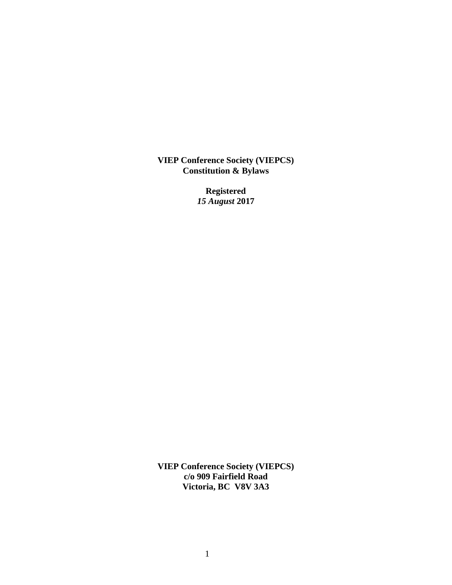**VIEP Conference Society (VIEPCS) Constitution & Bylaws**

> **Registered** *15 August* **2017**

**VIEP Conference Society (VIEPCS) c/o 909 Fairfield Road Victoria, BC V8V 3A3**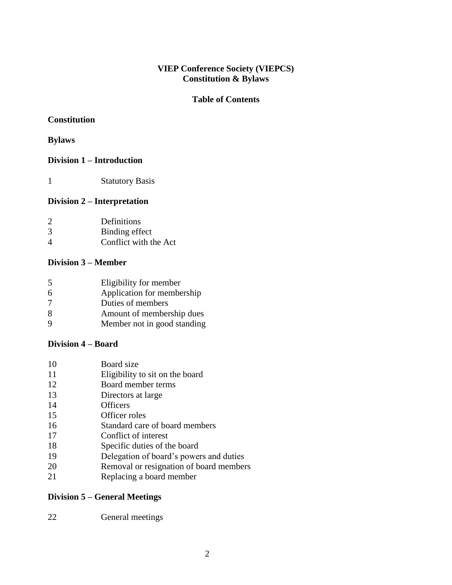## **VIEP Conference Society (VIEPCS) Constitution & Bylaws**

## **Table of Contents**

# **Constitution**

## **Bylaws**

## **Division 1 – Introduction**

1 Statutory Basis

# **Division 2 – Interpretation**

| $\mathcal{D}_{\mathcal{L}}$ | Definitions           |
|-----------------------------|-----------------------|
| 3                           | Binding effect        |
| $\boldsymbol{\vartriangle}$ | Conflict with the Act |

#### **Division 3 – Member**

| 5 | Eligibility for member      |
|---|-----------------------------|
| 6 | Application for membership  |
| 7 | Duties of members           |
| 8 | Amount of membership dues   |
| 9 | Member not in good standing |

## **Division 4 – Board**

| 10 | Board size                              |
|----|-----------------------------------------|
| 11 | Eligibility to sit on the board         |
| 12 | Board member terms                      |
| 13 | Directors at large                      |
| 14 | <b>Officers</b>                         |
| 15 | Officer roles                           |
| 16 | Standard care of board members          |
| 17 | Conflict of interest                    |
| 18 | Specific duties of the board            |
| 19 | Delegation of board's powers and duties |
| 20 | Removal or resignation of board members |
| 21 | Replacing a board member                |
|    |                                         |

# **Division 5 – General Meetings**

| 22 | General meetings |
|----|------------------|
|----|------------------|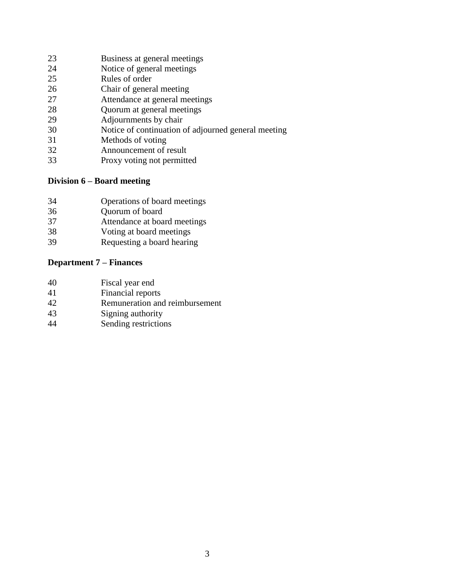- Business at general meetings
- Notice of general meetings
- Rules of order
- Chair of general meeting
- Attendance at general meetings
- Quorum at general meetings
- 29 Adjournments by chair
- Notice of continuation of adjourned general meeting
- Methods of voting
- Announcement of result
- Proxy voting not permitted

# **Division 6 – Board meeting**

- Operations of board meetings
- Quorum of board
- Attendance at board meetings
- Voting at board meetings
- Requesting a board hearing

# **Department 7 – Finances**

| 40 | Fiscal year end                |
|----|--------------------------------|
| 41 | Financial reports              |
| 42 | Remuneration and reimbursement |
| 43 | Signing authority              |
| 44 | Sending restrictions           |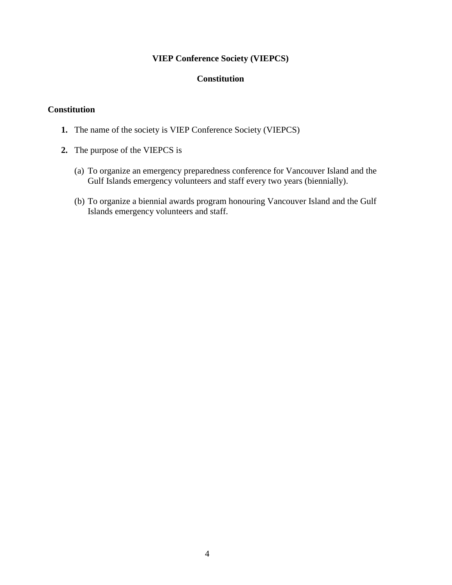## **VIEP Conference Society (VIEPCS)**

## **Constitution**

### **Constitution**

- **1.** The name of the society is VIEP Conference Society (VIEPCS)
- **2.** The purpose of the VIEPCS is
	- (a) To organize an emergency preparedness conference for Vancouver Island and the Gulf Islands emergency volunteers and staff every two years (biennially).
	- (b) To organize a biennial awards program honouring Vancouver Island and the Gulf Islands emergency volunteers and staff.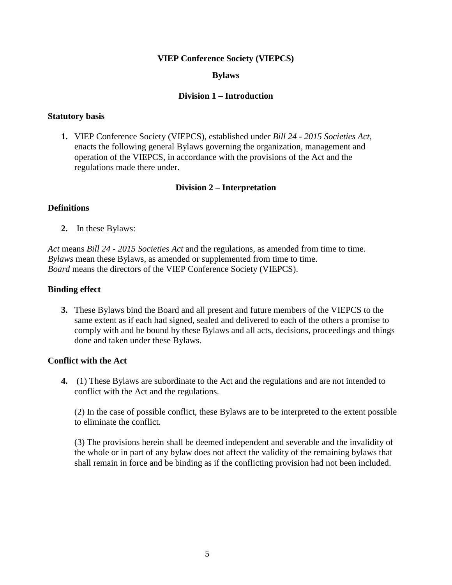#### **VIEP Conference Society (VIEPCS)**

#### **Bylaws**

#### **Division 1 – Introduction**

#### **Statutory basis**

**1.** VIEP Conference Society (VIEPCS), established under *Bill 24 - 2015 Societies Act*, enacts the following general Bylaws governing the organization, management and operation of the VIEPCS, in accordance with the provisions of the Act and the regulations made there under.

#### **Division 2 – Interpretation**

#### **Definitions**

**2.** In these Bylaws:

*Act* means *Bill 24 - 2015 Societies Act* and the regulations, as amended from time to time. *Bylaws* mean these Bylaws, as amended or supplemented from time to time. *Board* means the directors of the VIEP Conference Society (VIEPCS).

#### **Binding effect**

**3.** These Bylaws bind the Board and all present and future members of the VIEPCS to the same extent as if each had signed, sealed and delivered to each of the others a promise to comply with and be bound by these Bylaws and all acts, decisions, proceedings and things done and taken under these Bylaws.

#### **Conflict with the Act**

**4.** (1) These Bylaws are subordinate to the Act and the regulations and are not intended to conflict with the Act and the regulations.

(2) In the case of possible conflict, these Bylaws are to be interpreted to the extent possible to eliminate the conflict.

(3) The provisions herein shall be deemed independent and severable and the invalidity of the whole or in part of any bylaw does not affect the validity of the remaining bylaws that shall remain in force and be binding as if the conflicting provision had not been included.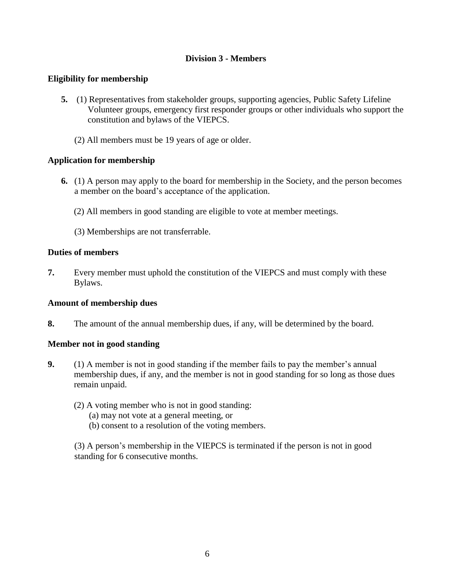## **Division 3 - Members**

## **Eligibility for membership**

- **5.** (1) Representatives from stakeholder groups, supporting agencies, Public Safety Lifeline Volunteer groups, emergency first responder groups or other individuals who support the constitution and bylaws of the VIEPCS.
	- (2) All members must be 19 years of age or older.

## **Application for membership**

- **6.** (1) A person may apply to the board for membership in the Society, and the person becomes a member on the board's acceptance of the application.
	- (2) All members in good standing are eligible to vote at member meetings.
	- (3) Memberships are not transferrable.

## **Duties of members**

**7.** Every member must uphold the constitution of the VIEPCS and must comply with these Bylaws.

#### **Amount of membership dues**

**8.** The amount of the annual membership dues, if any, will be determined by the board.

#### **Member not in good standing**

- **9.** (1) A member is not in good standing if the member fails to pay the member's annual membership dues, if any, and the member is not in good standing for so long as those dues remain unpaid.
	- (2) A voting member who is not in good standing:
		- (a) may not vote at a general meeting, or
		- (b) consent to a resolution of the voting members.

(3) A person's membership in the VIEPCS is terminated if the person is not in good standing for 6 consecutive months.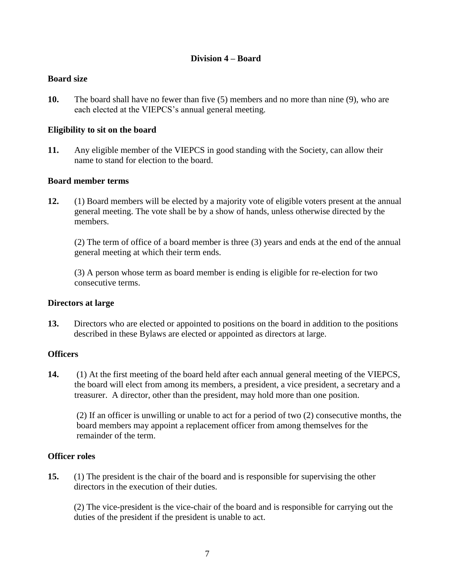### **Division 4 – Board**

### **Board size**

**10.** The board shall have no fewer than five (5) members and no more than nine (9), who are each elected at the VIEPCS's annual general meeting.

## **Eligibility to sit on the board**

**11.** Any eligible member of the VIEPCS in good standing with the Society, can allow their name to stand for election to the board.

#### **Board member terms**

**12.** (1) Board members will be elected by a majority vote of eligible voters present at the annual general meeting. The vote shall be by a show of hands, unless otherwise directed by the members.

(2) The term of office of a board member is three (3) years and ends at the end of the annual general meeting at which their term ends.

(3) A person whose term as board member is ending is eligible for re-election for two consecutive terms.

#### **Directors at large**

**13.** Directors who are elected or appointed to positions on the board in addition to the positions described in these Bylaws are elected or appointed as directors at large.

#### **Officers**

**14.** (1) At the first meeting of the board held after each annual general meeting of the VIEPCS, the board will elect from among its members, a president, a vice president, a secretary and a treasurer. A director, other than the president, may hold more than one position.

(2) If an officer is unwilling or unable to act for a period of two (2) consecutive months, the board members may appoint a replacement officer from among themselves for the remainder of the term.

#### **Officer roles**

**15.** (1) The president is the chair of the board and is responsible for supervising the other directors in the execution of their duties.

(2) The vice-president is the vice-chair of the board and is responsible for carrying out the duties of the president if the president is unable to act.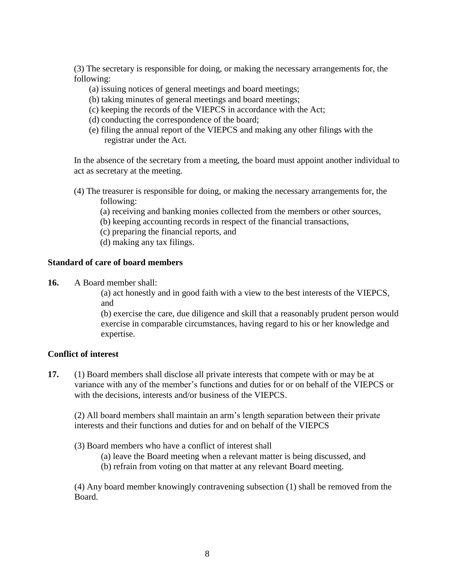(3) The secretary is responsible for doing, or making the necessary arrangements for, the following:

- (a) issuing notices of general meetings and board meetings;
- (b) taking minutes of general meetings and board meetings;
- (c) keeping the records of the VIEPCS in accordance with the Act;
- (d) conducting the correspondence of the board;
- (e) filing the annual report of the VIEPCS and making any other filings with the registrar under the Act.

In the absence of the secretary from a meeting, the board must appoint another individual to act as secretary at the meeting.

- (4) The treasurer is responsible for doing, or making the necessary arrangements for, the following:
	- (a) receiving and banking monies collected from the members or other sources,
	- (b) keeping accounting records in respect of the financial transactions,
	- (c) preparing the financial reports, and
	- (d) making any tax filings.

#### **Standard of care of board members**

**16.** A Board member shall:

(a) act honestly and in good faith with a view to the best interests of the VIEPCS, and

(b) exercise the care, due diligence and skill that a reasonably prudent person would exercise in comparable circumstances, having regard to his or her knowledge and expertise.

#### **Conflict of interest**

**17.** (1) Board members shall disclose all private interests that compete with or may be at variance with any of the member's functions and duties for or on behalf of the VIEPCS or with the decisions, interests and/or business of the VIEPCS.

(2) All board members shall maintain an arm's length separation between their private interests and their functions and duties for and on behalf of the VIEPCS

(3) Board members who have a conflict of interest shall

- (a) leave the Board meeting when a relevant matter is being discussed, and
- (b) refrain from voting on that matter at any relevant Board meeting.

(4) Any board member knowingly contravening subsection (1) shall be removed from the Board.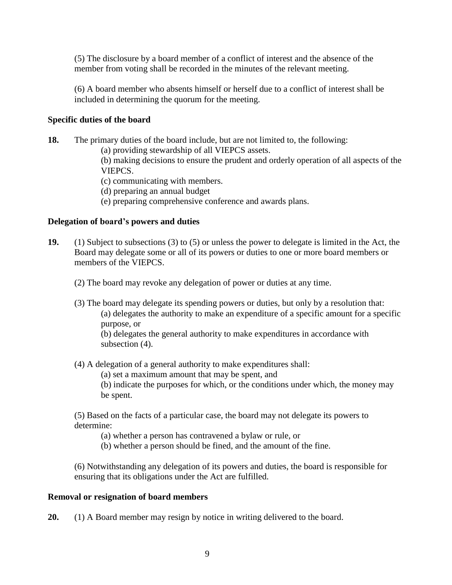(5) The disclosure by a board member of a conflict of interest and the absence of the member from voting shall be recorded in the minutes of the relevant meeting.

(6) A board member who absents himself or herself due to a conflict of interest shall be included in determining the quorum for the meeting.

## **Specific duties of the board**

- **18.** The primary duties of the board include, but are not limited to, the following:
	- (a) providing stewardship of all VIEPCS assets.

(b) making decisions to ensure the prudent and orderly operation of all aspects of the VIEPCS.

- (c) communicating with members.
- (d) preparing an annual budget
- (e) preparing comprehensive conference and awards plans.

#### **Delegation of board's powers and duties**

- **19.** (1) Subject to subsections (3) to (5) or unless the power to delegate is limited in the Act, the Board may delegate some or all of its powers or duties to one or more board members or members of the VIEPCS.
	- (2) The board may revoke any delegation of power or duties at any time.
	- (3) The board may delegate its spending powers or duties, but only by a resolution that: (a) delegates the authority to make an expenditure of a specific amount for a specific purpose, or

(b) delegates the general authority to make expenditures in accordance with subsection  $(4)$ .

- (4) A delegation of a general authority to make expenditures shall:
	- (a) set a maximum amount that may be spent, and

(b) indicate the purposes for which, or the conditions under which, the money may be spent.

(5) Based on the facts of a particular case, the board may not delegate its powers to determine:

- (a) whether a person has contravened a bylaw or rule, or
- (b) whether a person should be fined, and the amount of the fine.

(6) Notwithstanding any delegation of its powers and duties, the board is responsible for ensuring that its obligations under the Act are fulfilled.

#### **Removal or resignation of board members**

**20.** (1) A Board member may resign by notice in writing delivered to the board.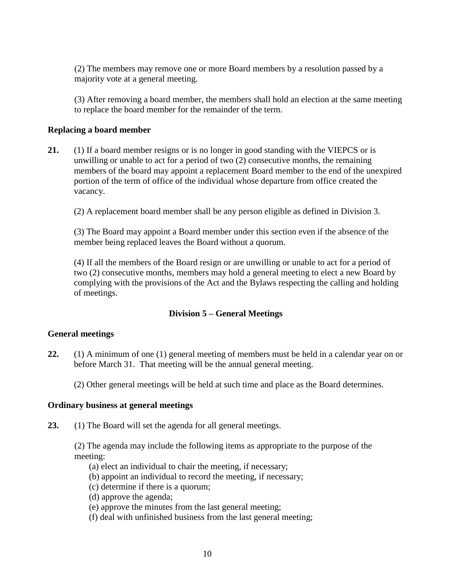(2) The members may remove one or more Board members by a resolution passed by a majority vote at a general meeting.

(3) After removing a board member, the members shall hold an election at the same meeting to replace the board member for the remainder of the term.

### **Replacing a board member**

**21.** (1) If a board member resigns or is no longer in good standing with the VIEPCS or is unwilling or unable to act for a period of two (2) consecutive months, the remaining members of the board may appoint a replacement Board member to the end of the unexpired portion of the term of office of the individual whose departure from office created the vacancy.

(2) A replacement board member shall be any person eligible as defined in Division 3.

(3) The Board may appoint a Board member under this section even if the absence of the member being replaced leaves the Board without a quorum.

(4) If all the members of the Board resign or are unwilling or unable to act for a period of two (2) consecutive months, members may hold a general meeting to elect a new Board by complying with the provisions of the Act and the Bylaws respecting the calling and holding of meetings.

## **Division 5 – General Meetings**

#### **General meetings**

- **22.** (1) A minimum of one (1) general meeting of members must be held in a calendar year on or before March 31. That meeting will be the annual general meeting.
	- (2) Other general meetings will be held at such time and place as the Board determines.

#### **Ordinary business at general meetings**

**23.** (1) The Board will set the agenda for all general meetings.

(2) The agenda may include the following items as appropriate to the purpose of the meeting:

- (a) elect an individual to chair the meeting, if necessary;
- (b) appoint an individual to record the meeting, if necessary;
- (c) determine if there is a quorum;
- (d) approve the agenda;
- (e) approve the minutes from the last general meeting;
- (f) deal with unfinished business from the last general meeting;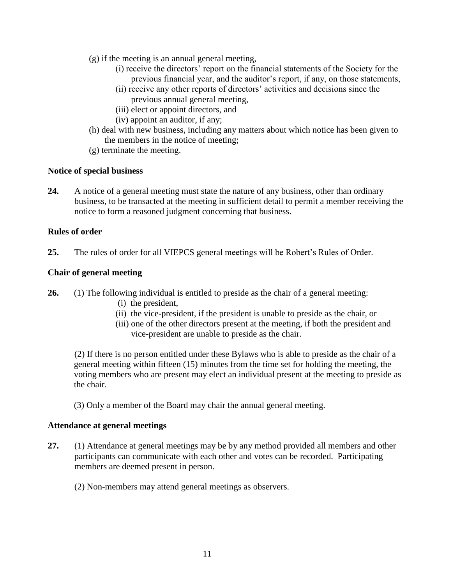- (g) if the meeting is an annual general meeting,
	- (i) receive the directors' report on the financial statements of the Society for the previous financial year, and the auditor's report, if any, on those statements,
	- (ii) receive any other reports of directors' activities and decisions since the previous annual general meeting,
	- (iii) elect or appoint directors, and
	- (iv) appoint an auditor, if any;
- (h) deal with new business, including any matters about which notice has been given to the members in the notice of meeting;
- (g) terminate the meeting.

#### **Notice of special business**

**24.** A notice of a general meeting must state the nature of any business, other than ordinary business, to be transacted at the meeting in sufficient detail to permit a member receiving the notice to form a reasoned judgment concerning that business.

## **Rules of order**

**25.** The rules of order for all VIEPCS general meetings will be Robert's Rules of Order.

## **Chair of general meeting**

- **26.** (1) The following individual is entitled to preside as the chair of a general meeting:
	- (i) the president,
	- (ii) the vice-president, if the president is unable to preside as the chair, or
	- (iii) one of the other directors present at the meeting, if both the president and vice-president are unable to preside as the chair.

(2) If there is no person entitled under these Bylaws who is able to preside as the chair of a general meeting within fifteen (15) minutes from the time set for holding the meeting, the voting members who are present may elect an individual present at the meeting to preside as the chair.

(3) Only a member of the Board may chair the annual general meeting.

#### **Attendance at general meetings**

**27.** (1) Attendance at general meetings may be by any method provided all members and other participants can communicate with each other and votes can be recorded. Participating members are deemed present in person.

(2) Non-members may attend general meetings as observers.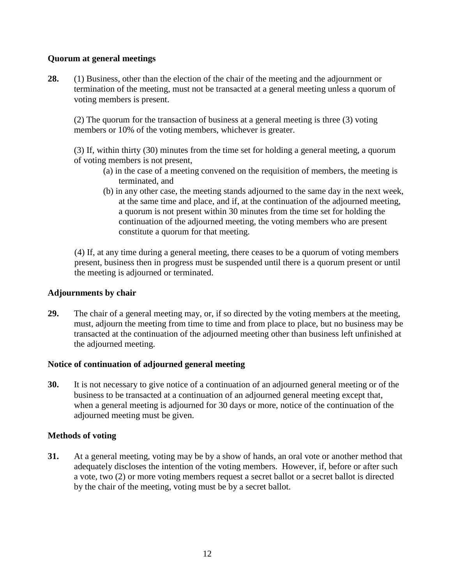## **Quorum at general meetings**

**28.** (1) Business, other than the election of the chair of the meeting and the adjournment or termination of the meeting, must not be transacted at a general meeting unless a quorum of voting members is present.

(2) The quorum for the transaction of business at a general meeting is three (3) voting members or 10% of the voting members, whichever is greater.

(3) If, within thirty (30) minutes from the time set for holding a general meeting, a quorum of voting members is not present,

- (a) in the case of a meeting convened on the requisition of members, the meeting is terminated, and
- (b) in any other case, the meeting stands adjourned to the same day in the next week, at the same time and place, and if, at the continuation of the adjourned meeting, a quorum is not present within 30 minutes from the time set for holding the continuation of the adjourned meeting, the voting members who are present constitute a quorum for that meeting.

(4) If, at any time during a general meeting, there ceases to be a quorum of voting members present, business then in progress must be suspended until there is a quorum present or until the meeting is adjourned or terminated.

#### **Adjournments by chair**

**29.** The chair of a general meeting may, or, if so directed by the voting members at the meeting, must, adjourn the meeting from time to time and from place to place, but no business may be transacted at the continuation of the adjourned meeting other than business left unfinished at the adjourned meeting.

#### **Notice of continuation of adjourned general meeting**

**30.** It is not necessary to give notice of a continuation of an adjourned general meeting or of the business to be transacted at a continuation of an adjourned general meeting except that, when a general meeting is adjourned for 30 days or more, notice of the continuation of the adjourned meeting must be given.

#### **Methods of voting**

**31.** At a general meeting, voting may be by a show of hands, an oral vote or another method that adequately discloses the intention of the voting members. However, if, before or after such a vote, two (2) or more voting members request a secret ballot or a secret ballot is directed by the chair of the meeting, voting must be by a secret ballot.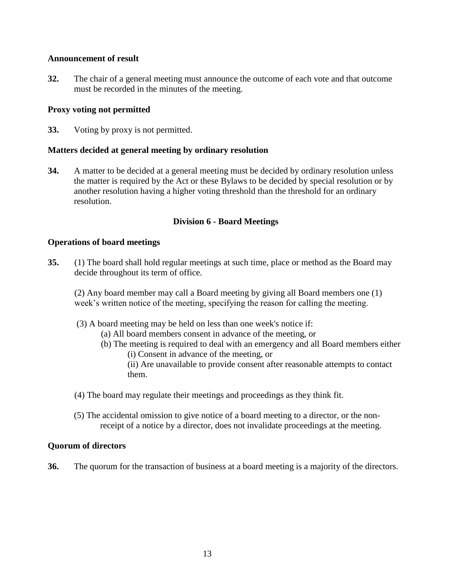#### **Announcement of result**

**32.** The chair of a general meeting must announce the outcome of each vote and that outcome must be recorded in the minutes of the meeting.

#### **Proxy voting not permitted**

**33.** Voting by proxy is not permitted.

#### **Matters decided at general meeting by ordinary resolution**

**34.** A matter to be decided at a general meeting must be decided by ordinary resolution unless the matter is required by the Act or these Bylaws to be decided by special resolution or by another resolution having a higher voting threshold than the threshold for an ordinary resolution.

#### **Division 6 - Board Meetings**

#### **Operations of board meetings**

**35.** (1) The board shall hold regular meetings at such time, place or method as the Board may decide throughout its term of office.

(2) Any board member may call a Board meeting by giving all Board members one (1) week's written notice of the meeting, specifying the reason for calling the meeting.

- (3) A board meeting may be held on less than one week's notice if:
	- (a) All board members consent in advance of the meeting, or
	- (b) The meeting is required to deal with an emergency and all Board members either
		- (i) Consent in advance of the meeting, or

(ii) Are unavailable to provide consent after reasonable attempts to contact them.

- (4) The board may regulate their meetings and proceedings as they think fit.
- (5) The accidental omission to give notice of a board meeting to a director, or the nonreceipt of a notice by a director, does not invalidate proceedings at the meeting.

#### **Quorum of directors**

**36.** The quorum for the transaction of business at a board meeting is a majority of the directors.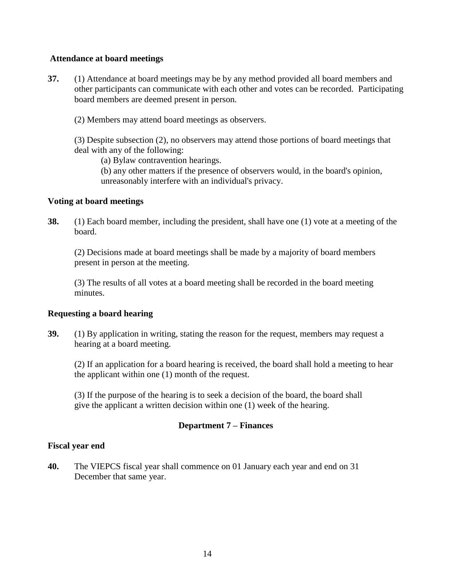#### **Attendance at board meetings**

- **37.** (1) Attendance at board meetings may be by any method provided all board members and other participants can communicate with each other and votes can be recorded. Participating board members are deemed present in person.
	- (2) Members may attend board meetings as observers.

(3) Despite subsection (2), no observers may attend those portions of board meetings that deal with any of the following:

(a) Bylaw contravention hearings.

(b) any other matters if the presence of observers would, in the board's opinion, unreasonably interfere with an individual's privacy.

## **Voting at board meetings**

**38.** (1) Each board member, including the president, shall have one (1) vote at a meeting of the board.

(2) Decisions made at board meetings shall be made by a majority of board members present in person at the meeting.

(3) The results of all votes at a board meeting shall be recorded in the board meeting minutes.

#### **Requesting a board hearing**

**39.** (1) By application in writing, stating the reason for the request, members may request a hearing at a board meeting.

(2) If an application for a board hearing is received, the board shall hold a meeting to hear the applicant within one (1) month of the request.

(3) If the purpose of the hearing is to seek a decision of the board, the board shall give the applicant a written decision within one (1) week of the hearing.

## **Department 7 – Finances**

#### **Fiscal year end**

**40.** The VIEPCS fiscal year shall commence on 01 January each year and end on 31 December that same year.